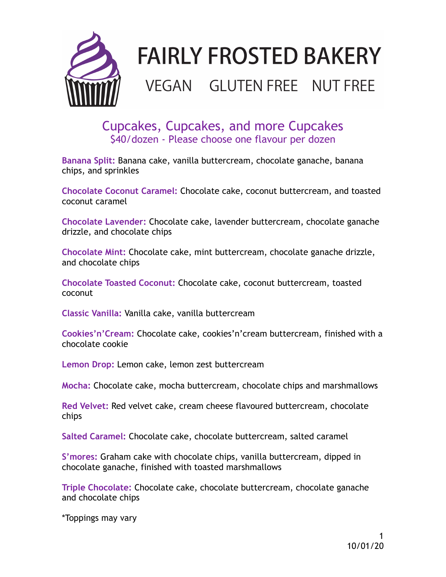

# **FAIRLY FROSTED BAKERY**

# **VEGAN GLUTEN FREE NUT FREE**

Cupcakes, Cupcakes, and more Cupcakes \$40/dozen - Please choose one flavour per dozen

**Banana Split:** Banana cake, vanilla buttercream, chocolate ganache, banana chips, and sprinkles

**Chocolate Coconut Caramel:** Chocolate cake, coconut buttercream, and toasted coconut caramel

**Chocolate Lavender:** Chocolate cake, lavender buttercream, chocolate ganache drizzle, and chocolate chips

**Chocolate Mint:** Chocolate cake, mint buttercream, chocolate ganache drizzle, and chocolate chips

**Chocolate Toasted Coconut:** Chocolate cake, coconut buttercream, toasted coconut

**Classic Vanilla:** Vanilla cake, vanilla buttercream

**Cookies'n'Cream:** Chocolate cake, cookies'n'cream buttercream, finished with a chocolate cookie

**Lemon Drop:** Lemon cake, lemon zest buttercream

**Mocha:** Chocolate cake, mocha buttercream, chocolate chips and marshmallows

**Red Velvet:** Red velvet cake, cream cheese flavoured buttercream, chocolate chips

**Salted Caramel:** Chocolate cake, chocolate buttercream, salted caramel

**S'mores:** Graham cake with chocolate chips, vanilla buttercream, dipped in chocolate ganache, finished with toasted marshmallows

**Triple Chocolate:** Chocolate cake, chocolate buttercream, chocolate ganache and chocolate chips

\*Toppings may vary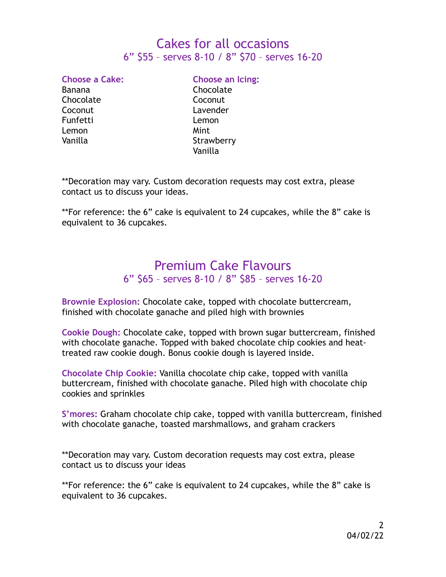### Cakes for all occasions 6" \$55 – serves 8-10 / 8" \$70 – serves 16-20

Chocolate Coconut Funfetti Lemon Lemon Mint

**Choose a Cake: Choose an Icing:**  Banana **Chocolate** Coconut Lavender Vanilla Strawberry Vanilla

\*\*Decoration may vary. Custom decoration requests may cost extra, please contact us to discuss your ideas.

\*\*For reference: the 6" cake is equivalent to 24 cupcakes, while the 8" cake is equivalent to 36 cupcakes.

#### Premium Cake Flavours 6" \$65 – serves 8-10 / 8" \$85 – serves 16-20

**Brownie Explosion:** Chocolate cake, topped with chocolate buttercream, finished with chocolate ganache and piled high with brownies

**Cookie Dough:** Chocolate cake, topped with brown sugar buttercream, finished with chocolate ganache. Topped with baked chocolate chip cookies and heattreated raw cookie dough. Bonus cookie dough is layered inside.

**Chocolate Chip Cookie:** Vanilla chocolate chip cake, topped with vanilla buttercream, finished with chocolate ganache. Piled high with chocolate chip cookies and sprinkles

**S'mores:** Graham chocolate chip cake, topped with vanilla buttercream, finished with chocolate ganache, toasted marshmallows, and graham crackers

\*\*Decoration may vary. Custom decoration requests may cost extra, please contact us to discuss your ideas

\*\*For reference: the 6" cake is equivalent to 24 cupcakes, while the 8" cake is equivalent to 36 cupcakes.